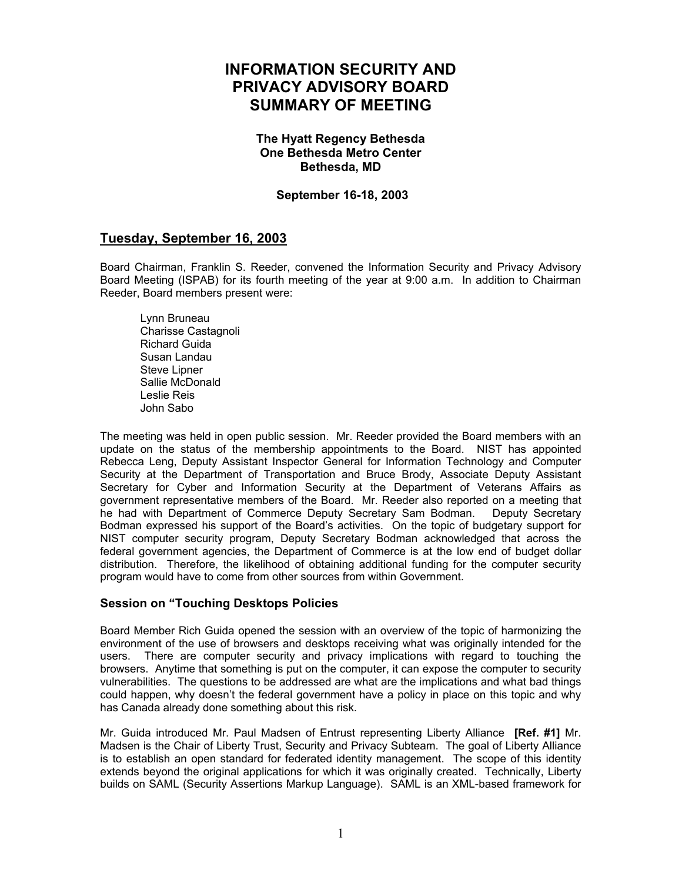# **INFORMATION SECURITY AND PRIVACY ADVISORY BOARD SUMMARY OF MEETING**

#### **The Hyatt Regency Bethesda One Bethesda Metro Center Bethesda, MD**

## **September 16-18, 2003**

# **Tuesday, September 16, 2003**

Board Chairman, Franklin S. Reeder, convened the Information Security and Privacy Advisory Board Meeting (ISPAB) for its fourth meeting of the year at 9:00 a.m. In addition to Chairman Reeder, Board members present were:

Lynn Bruneau Charisse Castagnoli Richard Guida Susan Landau Steve Lipner Sallie McDonald Leslie Reis John Sabo

The meeting was held in open public session. Mr. Reeder provided the Board members with an update on the status of the membership appointments to the Board. NIST has appointed Rebecca Leng, Deputy Assistant Inspector General for Information Technology and Computer Security at the Department of Transportation and Bruce Brody, Associate Deputy Assistant Secretary for Cyber and Information Security at the Department of Veterans Affairs as government representative members of the Board. Mr. Reeder also reported on a meeting that he had with Department of Commerce Deputy Secretary Sam Bodman. Deputy Secretary Bodman expressed his support of the Board's activities. On the topic of budgetary support for NIST computer security program, Deputy Secretary Bodman acknowledged that across the federal government agencies, the Department of Commerce is at the low end of budget dollar distribution. Therefore, the likelihood of obtaining additional funding for the computer security program would have to come from other sources from within Government.

#### **Session on "Touching Desktops Policies**

Board Member Rich Guida opened the session with an overview of the topic of harmonizing the environment of the use of browsers and desktops receiving what was originally intended for the users. There are computer security and privacy implications with regard to touching the browsers. Anytime that something is put on the computer, it can expose the computer to security vulnerabilities. The questions to be addressed are what are the implications and what bad things could happen, why doesn't the federal government have a policy in place on this topic and why has Canada already done something about this risk.

Mr. Guida introduced Mr. Paul Madsen of Entrust representing Liberty Alliance **[Ref. #1]** Mr. Madsen is the Chair of Liberty Trust, Security and Privacy Subteam. The goal of Liberty Alliance is to establish an open standard for federated identity management. The scope of this identity extends beyond the original applications for which it was originally created. Technically, Liberty builds on SAML (Security Assertions Markup Language). SAML is an XML-based framework for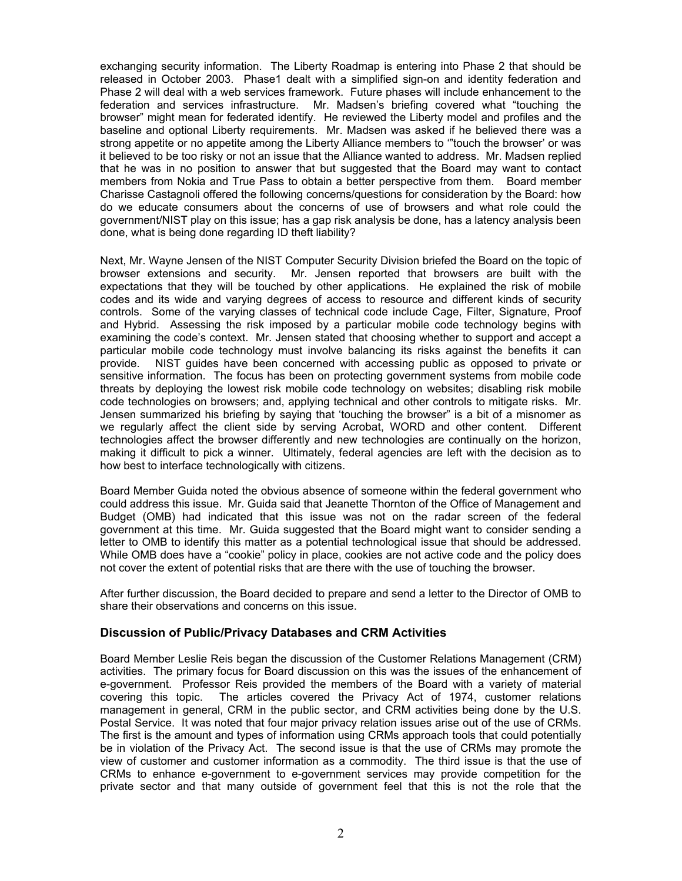exchanging security information. The Liberty Roadmap is entering into Phase 2 that should be released in October 2003. Phase1 dealt with a simplified sign-on and identity federation and Phase 2 will deal with a web services framework. Future phases will include enhancement to the federation and services infrastructure. Mr. Madsen's briefing covered what "touching the browser" might mean for federated identify. He reviewed the Liberty model and profiles and the baseline and optional Liberty requirements. Mr. Madsen was asked if he believed there was a strong appetite or no appetite among the Liberty Alliance members to '"touch the browser' or was it believed to be too risky or not an issue that the Alliance wanted to address. Mr. Madsen replied that he was in no position to answer that but suggested that the Board may want to contact members from Nokia and True Pass to obtain a better perspective from them. Board member Charisse Castagnoli offered the following concerns/questions for consideration by the Board: how do we educate consumers about the concerns of use of browsers and what role could the government/NIST play on this issue; has a gap risk analysis be done, has a latency analysis been done, what is being done regarding ID theft liability?

Next, Mr. Wayne Jensen of the NIST Computer Security Division briefed the Board on the topic of browser extensions and security. Mr. Jensen reported that browsers are built with the expectations that they will be touched by other applications. He explained the risk of mobile codes and its wide and varying degrees of access to resource and different kinds of security controls. Some of the varying classes of technical code include Cage, Filter, Signature, Proof and Hybrid. Assessing the risk imposed by a particular mobile code technology begins with examining the code's context. Mr. Jensen stated that choosing whether to support and accept a particular mobile code technology must involve balancing its risks against the benefits it can provide. NIST guides have been concerned with accessing public as opposed to private or sensitive information. The focus has been on protecting government systems from mobile code threats by deploying the lowest risk mobile code technology on websites; disabling risk mobile code technologies on browsers; and, applying technical and other controls to mitigate risks. Mr. Jensen summarized his briefing by saying that 'touching the browser" is a bit of a misnomer as we regularly affect the client side by serving Acrobat, WORD and other content. Different technologies affect the browser differently and new technologies are continually on the horizon, making it difficult to pick a winner. Ultimately, federal agencies are left with the decision as to how best to interface technologically with citizens.

Board Member Guida noted the obvious absence of someone within the federal government who could address this issue. Mr. Guida said that Jeanette Thornton of the Office of Management and Budget (OMB) had indicated that this issue was not on the radar screen of the federal government at this time. Mr. Guida suggested that the Board might want to consider sending a letter to OMB to identify this matter as a potential technological issue that should be addressed. While OMB does have a "cookie" policy in place, cookies are not active code and the policy does not cover the extent of potential risks that are there with the use of touching the browser.

After further discussion, the Board decided to prepare and send a letter to the Director of OMB to share their observations and concerns on this issue.

#### **Discussion of Public/Privacy Databases and CRM Activities**

Board Member Leslie Reis began the discussion of the Customer Relations Management (CRM) activities. The primary focus for Board discussion on this was the issues of the enhancement of e-government. Professor Reis provided the members of the Board with a variety of material covering this topic. The articles covered the Privacy Act of 1974, customer relations management in general, CRM in the public sector, and CRM activities being done by the U.S. Postal Service. It was noted that four major privacy relation issues arise out of the use of CRMs. The first is the amount and types of information using CRMs approach tools that could potentially be in violation of the Privacy Act. The second issue is that the use of CRMs may promote the view of customer and customer information as a commodity. The third issue is that the use of CRMs to enhance e-government to e-government services may provide competition for the private sector and that many outside of government feel that this is not the role that the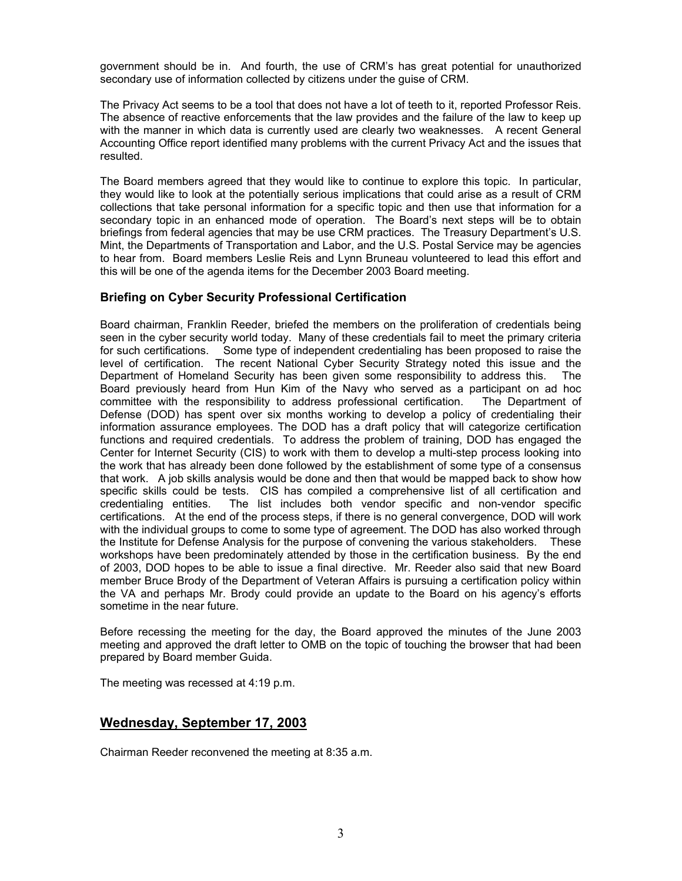government should be in. And fourth, the use of CRM's has great potential for unauthorized secondary use of information collected by citizens under the guise of CRM.

The Privacy Act seems to be a tool that does not have a lot of teeth to it, reported Professor Reis. The absence of reactive enforcements that the law provides and the failure of the law to keep up with the manner in which data is currently used are clearly two weaknesses. A recent General Accounting Office report identified many problems with the current Privacy Act and the issues that resulted.

The Board members agreed that they would like to continue to explore this topic. In particular, they would like to look at the potentially serious implications that could arise as a result of CRM collections that take personal information for a specific topic and then use that information for a secondary topic in an enhanced mode of operation. The Board's next steps will be to obtain briefings from federal agencies that may be use CRM practices. The Treasury Department's U.S. Mint, the Departments of Transportation and Labor, and the U.S. Postal Service may be agencies to hear from. Board members Leslie Reis and Lynn Bruneau volunteered to lead this effort and this will be one of the agenda items for the December 2003 Board meeting.

## **Briefing on Cyber Security Professional Certification**

Board chairman, Franklin Reeder, briefed the members on the proliferation of credentials being seen in the cyber security world today. Many of these credentials fail to meet the primary criteria for such certifications. Some type of independent credentialing has been proposed to raise the level of certification. The recent National Cyber Security Strategy noted this issue and the Department of Homeland Security has been given some responsibility to address this. The Board previously heard from Hun Kim of the Navy who served as a participant on ad hoc committee with the responsibility to address professional certification. The Department of Defense (DOD) has spent over six months working to develop a policy of credentialing their information assurance employees. The DOD has a draft policy that will categorize certification functions and required credentials. To address the problem of training, DOD has engaged the Center for Internet Security (CIS) to work with them to develop a multi-step process looking into the work that has already been done followed by the establishment of some type of a consensus that work. A job skills analysis would be done and then that would be mapped back to show how specific skills could be tests. CIS has compiled a comprehensive list of all certification and credentialing entities. The list includes both vendor specific and non-vendor specific certifications. At the end of the process steps, if there is no general convergence, DOD will work with the individual groups to come to some type of agreement. The DOD has also worked through the Institute for Defense Analysis for the purpose of convening the various stakeholders. These workshops have been predominately attended by those in the certification business. By the end of 2003, DOD hopes to be able to issue a final directive. Mr. Reeder also said that new Board member Bruce Brody of the Department of Veteran Affairs is pursuing a certification policy within the VA and perhaps Mr. Brody could provide an update to the Board on his agency's efforts sometime in the near future.

Before recessing the meeting for the day, the Board approved the minutes of the June 2003 meeting and approved the draft letter to OMB on the topic of touching the browser that had been prepared by Board member Guida.

The meeting was recessed at 4:19 p.m.

# **Wednesday, September 17, 2003**

Chairman Reeder reconvened the meeting at 8:35 a.m.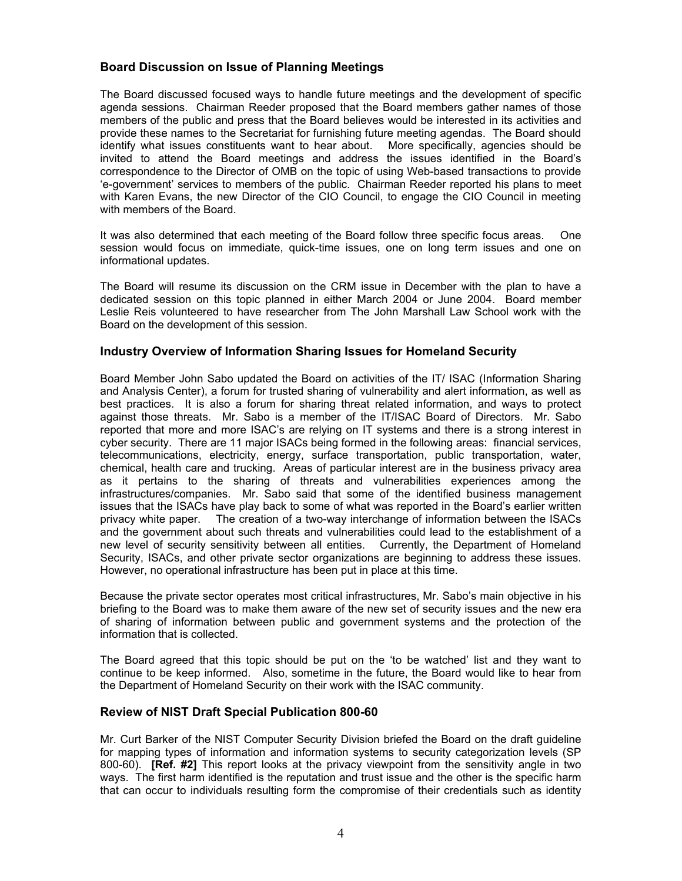# **Board Discussion on Issue of Planning Meetings**

The Board discussed focused ways to handle future meetings and the development of specific agenda sessions. Chairman Reeder proposed that the Board members gather names of those members of the public and press that the Board believes would be interested in its activities and provide these names to the Secretariat for furnishing future meeting agendas. The Board should identify what issues constituents want to hear about. More specifically, agencies should be invited to attend the Board meetings and address the issues identified in the Board's correspondence to the Director of OMB on the topic of using Web-based transactions to provide 'e-government' services to members of the public. Chairman Reeder reported his plans to meet with Karen Evans, the new Director of the CIO Council, to engage the CIO Council in meeting with members of the Board.

It was also determined that each meeting of the Board follow three specific focus areas. One session would focus on immediate, quick-time issues, one on long term issues and one on informational updates.

The Board will resume its discussion on the CRM issue in December with the plan to have a dedicated session on this topic planned in either March 2004 or June 2004. Board member Leslie Reis volunteered to have researcher from The John Marshall Law School work with the Board on the development of this session.

#### **Industry Overview of Information Sharing Issues for Homeland Security**

Board Member John Sabo updated the Board on activities of the IT/ ISAC (Information Sharing and Analysis Center), a forum for trusted sharing of vulnerability and alert information, as well as best practices. It is also a forum for sharing threat related information, and ways to protect against those threats. Mr. Sabo is a member of the IT/ISAC Board of Directors. Mr. Sabo reported that more and more ISAC's are relying on IT systems and there is a strong interest in cyber security. There are 11 major ISACs being formed in the following areas: financial services, telecommunications, electricity, energy, surface transportation, public transportation, water, chemical, health care and trucking. Areas of particular interest are in the business privacy area as it pertains to the sharing of threats and vulnerabilities experiences among the infrastructures/companies. Mr. Sabo said that some of the identified business management issues that the ISACs have play back to some of what was reported in the Board's earlier written privacy white paper. The creation of a two-way interchange of information between the ISACs and the government about such threats and vulnerabilities could lead to the establishment of a new level of security sensitivity between all entities. Currently, the Department of Homeland Security, ISACs, and other private sector organizations are beginning to address these issues. However, no operational infrastructure has been put in place at this time.

Because the private sector operates most critical infrastructures, Mr. Sabo's main objective in his briefing to the Board was to make them aware of the new set of security issues and the new era of sharing of information between public and government systems and the protection of the information that is collected.

The Board agreed that this topic should be put on the 'to be watched' list and they want to continue to be keep informed. Also, sometime in the future, the Board would like to hear from the Department of Homeland Security on their work with the ISAC community.

#### **Review of NIST Draft Special Publication 800-60**

Mr. Curt Barker of the NIST Computer Security Division briefed the Board on the draft guideline for mapping types of information and information systems to security categorization levels (SP 800-60). **[Ref. #2]** This report looks at the privacy viewpoint from the sensitivity angle in two ways. The first harm identified is the reputation and trust issue and the other is the specific harm that can occur to individuals resulting form the compromise of their credentials such as identity